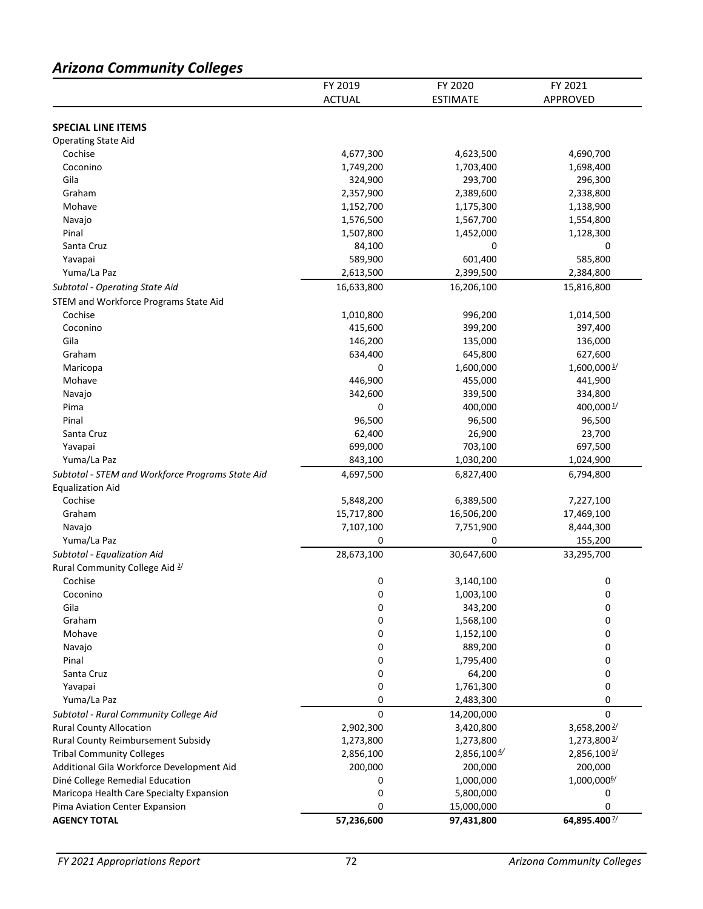# *Arizona Community Colleges*

|                                                  | FY 2019       | FY 2020         | FY 2021                  |
|--------------------------------------------------|---------------|-----------------|--------------------------|
|                                                  | <b>ACTUAL</b> | <b>ESTIMATE</b> | APPROVED                 |
|                                                  |               |                 |                          |
| <b>SPECIAL LINE ITEMS</b>                        |               |                 |                          |
| <b>Operating State Aid</b>                       |               |                 |                          |
| Cochise                                          | 4,677,300     | 4,623,500       | 4,690,700                |
| Coconino                                         | 1,749,200     | 1,703,400       | 1,698,400                |
| Gila                                             | 324,900       | 293,700         | 296,300                  |
| Graham                                           | 2,357,900     | 2,389,600       | 2,338,800                |
| Mohave                                           | 1,152,700     | 1,175,300       | 1,138,900                |
| Navajo                                           | 1,576,500     | 1,567,700       | 1,554,800                |
| Pinal                                            | 1,507,800     | 1,452,000       | 1,128,300                |
| Santa Cruz                                       | 84,100        | $\Omega$        | 0                        |
| Yavapai                                          | 589,900       | 601,400         | 585,800                  |
| Yuma/La Paz                                      | 2,613,500     | 2,399,500       | 2,384,800                |
| Subtotal - Operating State Aid                   | 16,633,800    | 16,206,100      | 15,816,800               |
| STEM and Workforce Programs State Aid            |               |                 |                          |
| Cochise                                          | 1,010,800     | 996,200         | 1,014,500                |
| Coconino                                         | 415,600       | 399,200         | 397,400                  |
| Gila                                             | 146,200       | 135,000         | 136,000                  |
| Graham                                           | 634,400       | 645,800         | 627,600                  |
| Maricopa                                         | 0             | 1,600,000       | 1,600,000 1/             |
| Mohave                                           | 446,900       | 455,000         | 441,900                  |
| Navajo                                           | 342,600       | 339,500         | 334,800                  |
| Pima                                             | 0             | 400,000         | 400,000 $\frac{1}{2}$    |
| Pinal                                            | 96,500        | 96,500          | 96,500                   |
| Santa Cruz                                       | 62,400        | 26,900          | 23,700                   |
| Yavapai                                          | 699,000       | 703,100         | 697,500                  |
| Yuma/La Paz                                      | 843,100       | 1,030,200       | 1,024,900                |
| Subtotal - STEM and Workforce Programs State Aid | 4,697,500     | 6,827,400       | 6,794,800                |
| <b>Equalization Aid</b>                          |               |                 |                          |
| Cochise                                          | 5,848,200     | 6,389,500       | 7,227,100                |
| Graham                                           | 15,717,800    | 16,506,200      | 17,469,100               |
| Navajo                                           | 7,107,100     | 7,751,900       | 8,444,300                |
| Yuma/La Paz                                      | 0             | 0               | 155,200                  |
| Subtotal - Equalization Aid                      | 28,673,100    | 30,647,600      | 33,295,700               |
| Rural Community College Aid 2/                   |               |                 |                          |
| Cochise                                          | 0             | 3,140,100       | 0                        |
| Coconino                                         | 0             | 1,003,100       | 0                        |
| Gila                                             | 0             | 343,200         | 0                        |
| Graham                                           | 0             | 1,568,100       | 0                        |
| Mohave                                           | 0             | 1,152,100       | 0                        |
| Navajo                                           | 0             | 889,200         | 0                        |
| Pinal                                            | 0             | 1,795,400       | 0                        |
| Santa Cruz                                       | 0             | 64,200          | 0                        |
| Yavapai                                          | 0             | 1,761,300       | 0                        |
| Yuma/La Paz                                      | 0             | 2,483,300       | 0                        |
| Subtotal - Rural Community College Aid           | $\Omega$      | 14,200,000      | 0                        |
| <b>Rural County Allocation</b>                   | 2,902,300     | 3,420,800       | 3,658,200 $\frac{2}{3}$  |
| Rural County Reimbursement Subsidy               | 1,273,800     | 1,273,800       | 1,273,800 3/             |
| <b>Tribal Community Colleges</b>                 | 2,856,100     | 2,856,100 4     | 2,856,100 5/             |
| Additional Gila Workforce Development Aid        | 200,000       | 200,000         | 200,000                  |
| Diné College Remedial Education                  | 0             | 1,000,000       | 1,000,000 <sup>6/</sup>  |
| Maricopa Health Care Specialty Expansion         | 0             | 5,800,000       | 0                        |
| Pima Aviation Center Expansion                   | 0             | 15,000,000      | 0                        |
| <b>AGENCY TOTAL</b>                              | 57,236,600    | 97,431,800      | 64,895.400 $\frac{1}{2}$ |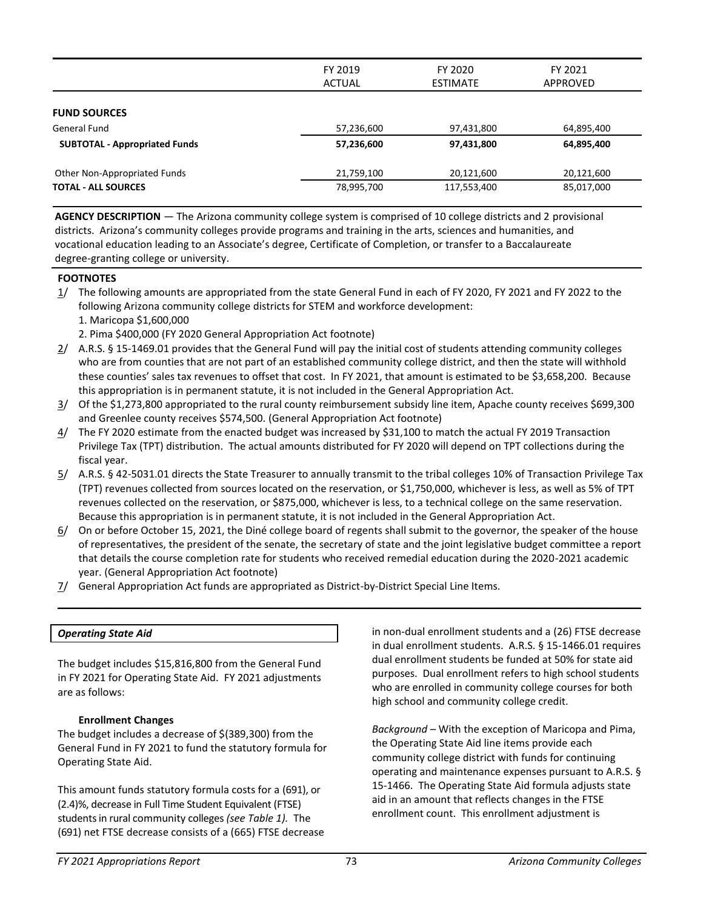|                                      | FY 2019<br>FY 2020<br><b>ACTUAL</b><br><b>ESTIMATE</b> |             | FY 2021<br>APPROVED |
|--------------------------------------|--------------------------------------------------------|-------------|---------------------|
| <b>FUND SOURCES</b>                  |                                                        |             |                     |
| General Fund                         | 57,236,600                                             | 97,431,800  | 64,895,400          |
| <b>SUBTOTAL - Appropriated Funds</b> | 57,236,600                                             | 97,431,800  | 64,895,400          |
| Other Non-Appropriated Funds         | 21,759,100                                             | 20,121,600  | 20,121,600          |
| <b>TOTAL - ALL SOURCES</b>           | 78,995,700                                             | 117,553,400 | 85,017,000          |

**AGENCY DESCRIPTION** — The Arizona community college system is comprised of 10 college districts and 2 provisional districts. Arizona's community colleges provide programs and training in the arts, sciences and humanities, and vocational education leading to an Associate's degree, Certificate of Completion, or transfer to a Baccalaureate degree-granting college or university.

#### **FOOTNOTES**

- 1/ The following amounts are appropriated from the state General Fund in each of FY 2020, FY 2021 and FY 2022 to the following Arizona community college districts for STEM and workforce development:
	- 1. Maricopa \$1,600,000
	- 2. Pima \$400,000 (FY 2020 General Appropriation Act footnote)
- 2/ A.R.S. § 15-1469.01 provides that the General Fund will pay the initial cost of students attending community colleges who are from counties that are not part of an established community college district, and then the state will withhold these counties' sales tax revenues to offset that cost. In FY 2021, that amount is estimated to be \$3,658,200. Because this appropriation is in permanent statute, it is not included in the General Appropriation Act.
- 3/ Of the \$1,273,800 appropriated to the rural county reimbursement subsidy line item, Apache county receives \$699,300 and Greenlee county receives \$574,500. (General Appropriation Act footnote)
- 4/ The FY 2020 estimate from the enacted budget was increased by \$31,100 to match the actual FY 2019 Transaction Privilege Tax (TPT) distribution. The actual amounts distributed for FY 2020 will depend on TPT collections during the fiscal year.
- 5/ A.R.S. § 42-5031.01 directs the State Treasurer to annually transmit to the tribal colleges 10% of Transaction Privilege Tax (TPT) revenues collected from sources located on the reservation, or \$1,750,000, whichever is less, as well as 5% of TPT revenues collected on the reservation, or \$875,000, whichever is less, to a technical college on the same reservation. Because this appropriation is in permanent statute, it is not included in the General Appropriation Act.
- 6/ On or before October 15, 2021, the Diné college board of regents shall submit to the governor, the speaker of the house of representatives, the president of the senate, the secretary of state and the joint legislative budget committee a report that details the course completion rate for students who received remedial education during the 2020-2021 academic year. (General Appropriation Act footnote)

\_\_\_\_\_\_\_\_\_\_\_\_\_\_\_\_\_\_\_\_\_\_\_\_\_\_\_\_\_\_\_\_\_\_\_\_\_\_\_\_\_\_\_\_\_\_\_\_\_\_\_\_\_\_\_\_\_\_\_\_\_\_\_\_\_\_\_\_\_\_\_\_\_\_\_\_\_\_\_\_\_\_\_\_\_

7/ General Appropriation Act funds are appropriated as District-by-District Special Line Items.

#### *Operating State Aid*

The budget includes \$15,816,800 from the General Fund in FY 2021 for Operating State Aid. FY 2021 adjustments are as follows:

#### **Enrollment Changes**

The budget includes a decrease of \$(389,300) from the General Fund in FY 2021 to fund the statutory formula for Operating State Aid.

This amount funds statutory formula costs for a (691), or (2.4)%, decrease in Full Time Student Equivalent (FTSE) students in rural community colleges *(see Table 1).* The (691) net FTSE decrease consists of a (665) FTSE decrease in non-dual enrollment students and a (26) FTSE decrease in dual enrollment students. A.R.S. § 15-1466.01 requires dual enrollment students be funded at 50% for state aid purposes. Dual enrollment refers to high school students who are enrolled in community college courses for both high school and community college credit.

*Background* – With the exception of Maricopa and Pima, the Operating State Aid line items provide each community college district with funds for continuing operating and maintenance expenses pursuant to A.R.S. § 15-1466. The Operating State Aid formula adjusts state aid in an amount that reflects changes in the FTSE enrollment count. This enrollment adjustment is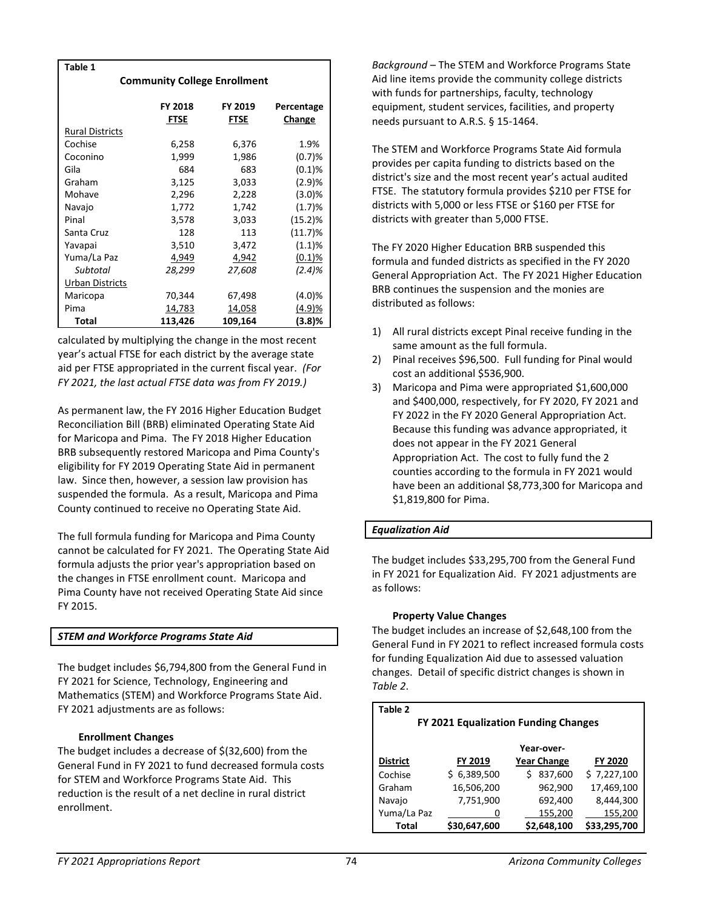| Table 1                             |             |         |               |  |  |  |
|-------------------------------------|-------------|---------|---------------|--|--|--|
| <b>Community College Enrollment</b> |             |         |               |  |  |  |
|                                     |             |         |               |  |  |  |
|                                     | FY 2018     | FY 2019 | Percentage    |  |  |  |
|                                     | <b>FTSE</b> | FTSE    | <b>Change</b> |  |  |  |
| <b>Rural Districts</b>              |             |         |               |  |  |  |
| Cochise                             | 6,258       | 6,376   | 1.9%          |  |  |  |
| Coconino                            | 1,999       | 1,986   | (0.7)%        |  |  |  |
| Gila                                | 684         | 683     | (0.1)%        |  |  |  |
| Graham                              | 3,125       | 3,033   | (2.9)%        |  |  |  |
| Mohave                              | 2,296       | 2,228   | (3.0)%        |  |  |  |
| Navajo                              | 1,772       | 1,742   | (1.7)%        |  |  |  |
| Pinal                               | 3,578       | 3,033   | (15.2)%       |  |  |  |
| Santa Cruz                          | 128         | 113     | $(11.7)\%$    |  |  |  |
| Yavapai                             | 3,510       | 3,472   | (1.1)%        |  |  |  |
| Yuma/La Paz                         | 4,949       | 4,942   | (0.1)%        |  |  |  |
| Subtotal                            | 28,299      | 27,608  | (2.4)%        |  |  |  |
| <b>Urban Districts</b>              |             |         |               |  |  |  |
| Maricopa                            | 70,344      | 67,498  | (4.0)%        |  |  |  |
| Pima                                | 14,783      | 14,058  | (4.9)%        |  |  |  |
| Total                               | 113,426     | 109,164 | (3.8)%        |  |  |  |

calculated by multiplying the change in the most recent year's actual FTSE for each district by the average state aid per FTSE appropriated in the current fiscal year. *(For FY 2021, the last actual FTSE data was from FY 2019.)*

As permanent law, the FY 2016 Higher Education Budget Reconciliation Bill (BRB) eliminated Operating State Aid for Maricopa and Pima. The FY 2018 Higher Education BRB subsequently restored Maricopa and Pima County's eligibility for FY 2019 Operating State Aid in permanent law. Since then, however, a session law provision has suspended the formula. As a result, Maricopa and Pima County continued to receive no Operating State Aid.

The full formula funding for Maricopa and Pima County cannot be calculated for FY 2021. The Operating State Aid formula adjusts the prior year's appropriation based on the changes in FTSE enrollment count. Maricopa and Pima County have not received Operating State Aid since FY 2015.

# *STEM and Workforce Programs State Aid*

The budget includes \$6,794,800 from the General Fund in FY 2021 for Science, Technology, Engineering and Mathematics (STEM) and Workforce Programs State Aid. FY 2021 adjustments are as follows:

#### **Enrollment Changes**

The budget includes a decrease of \$(32,600) from the General Fund in FY 2021 to fund decreased formula costs for STEM and Workforce Programs State Aid. This reduction is the result of a net decline in rural district enrollment.

*Background* – The STEM and Workforce Programs State Aid line items provide the community college districts with funds for partnerships, faculty, technology equipment, student services, facilities, and property needs pursuant to A.R.S. § 15-1464.

The STEM and Workforce Programs State Aid formula provides per capita funding to districts based on the district's size and the most recent year's actual audited FTSE. The statutory formula provides \$210 per FTSE for districts with 5,000 or less FTSE or \$160 per FTSE for districts with greater than 5,000 FTSE.

The FY 2020 Higher Education BRB suspended this formula and funded districts as specified in the FY 2020 General Appropriation Act. The FY 2021 Higher Education BRB continues the suspension and the monies are distributed as follows:

- 1) All rural districts except Pinal receive funding in the same amount as the full formula.
- 2) Pinal receives \$96,500. Full funding for Pinal would cost an additional \$536,900.
- 3) Maricopa and Pima were appropriated \$1,600,000 and \$400,000, respectively, for FY 2020, FY 2021 and FY 2022 in the FY 2020 General Appropriation Act. Because this funding was advance appropriated, it does not appear in the FY 2021 General Appropriation Act. The cost to fully fund the 2 counties according to the formula in FY 2021 would have been an additional \$8,773,300 for Maricopa and \$1,819,800 for Pima.

# *Equalization Aid*

The budget includes \$33,295,700 from the General Fund in FY 2021 for Equalization Aid. FY 2021 adjustments are as follows:

#### **Property Value Changes**

The budget includes an increase of \$2,648,100 from the General Fund in FY 2021 to reflect increased formula costs for funding Equalization Aid due to assessed valuation changes. Detail of specific district changes is shown in *Table 2*.

## **Table 2**

| FY 2021 Equalization Funding Changes |              |                    |              |  |  |  |
|--------------------------------------|--------------|--------------------|--------------|--|--|--|
|                                      |              | Year-over-         |              |  |  |  |
| <b>District</b>                      | FY 2019      | <b>Year Change</b> | FY 2020      |  |  |  |
| Cochise                              | \$6,389,500  | 837,600            | \$7,227,100  |  |  |  |
| Graham                               | 16,506,200   | 962,900            | 17,469,100   |  |  |  |
| Navajo                               | 7,751,900    | 692,400            | 8,444,300    |  |  |  |
| Yuma/La Paz                          | U            | 155,200            | 155,200      |  |  |  |
| Total                                | \$30,647,600 | \$2,648,100        | \$33,295,700 |  |  |  |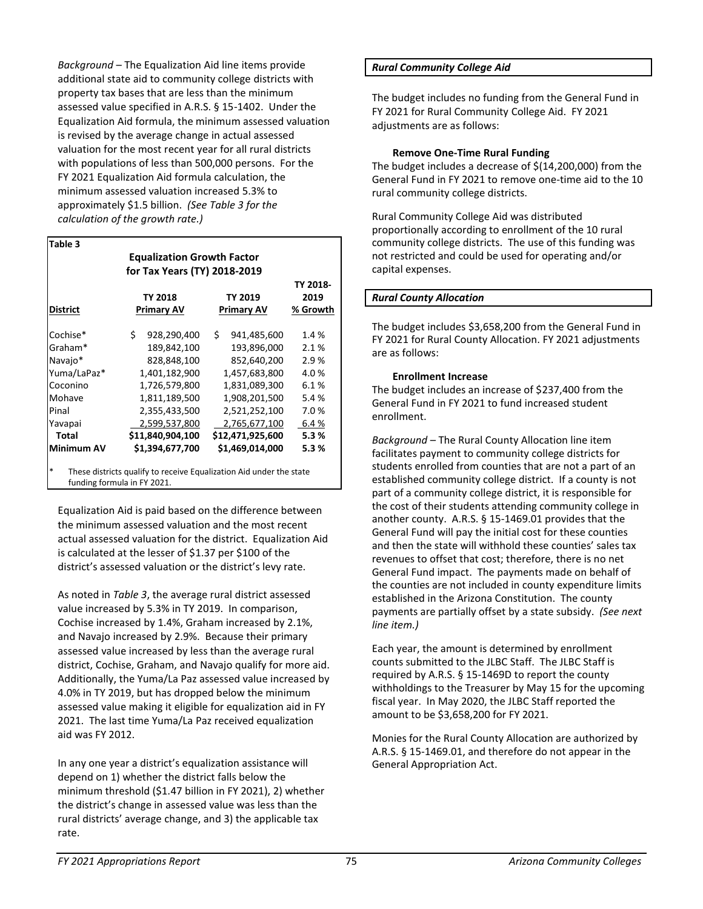*Background* – The Equalization Aid line items provide additional state aid to community college districts with property tax bases that are less than the minimum assessed value specified in A.R.S. § 15-1402. Under the Equalization Aid formula, the minimum assessed valuation is revised by the average change in actual assessed valuation for the most recent year for all rural districts with populations of less than 500,000 persons. For the FY 2021 Equalization Aid formula calculation, the minimum assessed valuation increased 5.3% to approximately \$1.5 billion. *(See Table 3 for the calculation of the growth rate.)* 

# **Table 3**

|                                       |                              | <b>Equalization Growth Factor</b>                                   |    |                   |          |  |  |
|---------------------------------------|------------------------------|---------------------------------------------------------------------|----|-------------------|----------|--|--|
|                                       | for Tax Years (TY) 2018-2019 |                                                                     |    |                   |          |  |  |
|                                       |                              |                                                                     |    |                   | TY 2018- |  |  |
|                                       |                              | <b>TY 2018</b>                                                      |    | <b>TY 2019</b>    | 2019     |  |  |
| District                              |                              | <b>Primary AV</b>                                                   |    | <b>Primary AV</b> | % Growth |  |  |
| Cochise*                              | Ś.                           | 928,290,400                                                         | \$ | 941,485,600       | 1.4 %    |  |  |
| Graham*                               |                              | 189,842,100                                                         |    | 193,896,000       | 2.1%     |  |  |
| Navajo*                               |                              | 828,848,100                                                         |    | 852,640,200       | 2.9%     |  |  |
| Yuma/LaPaz*                           |                              | 1,401,182,900                                                       |    | 1,457,683,800     | 4.0%     |  |  |
| Coconino                              |                              | 1,726,579,800                                                       |    | 1,831,089,300     | 6.1%     |  |  |
| Mohave                                |                              | 1,811,189,500                                                       |    | 1,908,201,500     | 5.4%     |  |  |
| Pinal                                 |                              | 2,355,433,500                                                       |    | 2,521,252,100     | 7.0%     |  |  |
| Yavapai                               |                              | 2,599,537,800                                                       |    | 2,765,677,100     | 6.4%     |  |  |
| Total                                 |                              | \$11,840,904,100                                                    |    | \$12,471,925,600  | 5.3%     |  |  |
| <b>Minimum AV</b>                     |                              | \$1,394,677,700                                                     |    | \$1,469,014,000   | 5.3%     |  |  |
| $\ast$<br>funding formula in FY 2021. |                              | These districts qualify to receive Equalization Aid under the state |    |                   |          |  |  |

Equalization Aid is paid based on the difference between the minimum assessed valuation and the most recent actual assessed valuation for the district. Equalization Aid is calculated at the lesser of \$1.37 per \$100 of the district's assessed valuation or the district's levy rate.

As noted in *Table 3*, the average rural district assessed value increased by 5.3% in TY 2019. In comparison, Cochise increased by 1.4%, Graham increased by 2.1%, and Navajo increased by 2.9%. Because their primary assessed value increased by less than the average rural district, Cochise, Graham, and Navajo qualify for more aid. Additionally, the Yuma/La Paz assessed value increased by 4.0% in TY 2019, but has dropped below the minimum assessed value making it eligible for equalization aid in FY 2021. The last time Yuma/La Paz received equalization aid was FY 2012.

In any one year a district's equalization assistance will depend on 1) whether the district falls below the minimum threshold (\$1.47 billion in FY 2021), 2) whether the district's change in assessed value was less than the rural districts' average change, and 3) the applicable tax rate.

#### *Rural Community College Aid*

The budget includes no funding from the General Fund in FY 2021 for Rural Community College Aid. FY 2021 adjustments are as follows:

#### **Remove One-Time Rural Funding**

The budget includes a decrease of \$(14,200,000) from the General Fund in FY 2021 to remove one-time aid to the 10 rural community college districts.

Rural Community College Aid was distributed proportionally according to enrollment of the 10 rural community college districts. The use of this funding was not restricted and could be used for operating and/or capital expenses.

### *Rural County Allocation*

The budget includes \$3,658,200 from the General Fund in FY 2021 for Rural County Allocation. FY 2021 adjustments are as follows:

#### **Enrollment Increase**

The budget includes an increase of \$237,400 from the General Fund in FY 2021 to fund increased student enrollment.

*Background* – The Rural County Allocation line item facilitates payment to community college districts for students enrolled from counties that are not a part of an established community college district. If a county is not part of a community college district, it is responsible for the cost of their students attending community college in another county. A.R.S. § 15-1469.01 provides that the General Fund will pay the initial cost for these counties and then the state will withhold these counties' sales tax revenues to offset that cost; therefore, there is no net General Fund impact. The payments made on behalf of the counties are not included in county expenditure limits established in the Arizona Constitution. The county payments are partially offset by a state subsidy. *(See next line item.)*

Each year, the amount is determined by enrollment counts submitted to the JLBC Staff. The JLBC Staff is required by A.R.S. § 15-1469D to report the county withholdings to the Treasurer by May 15 for the upcoming fiscal year. In May 2020, the JLBC Staff reported the amount to be \$3,658,200 for FY 2021.

Monies for the Rural County Allocation are authorized by A.R.S. § 15-1469.01, and therefore do not appear in the General Appropriation Act.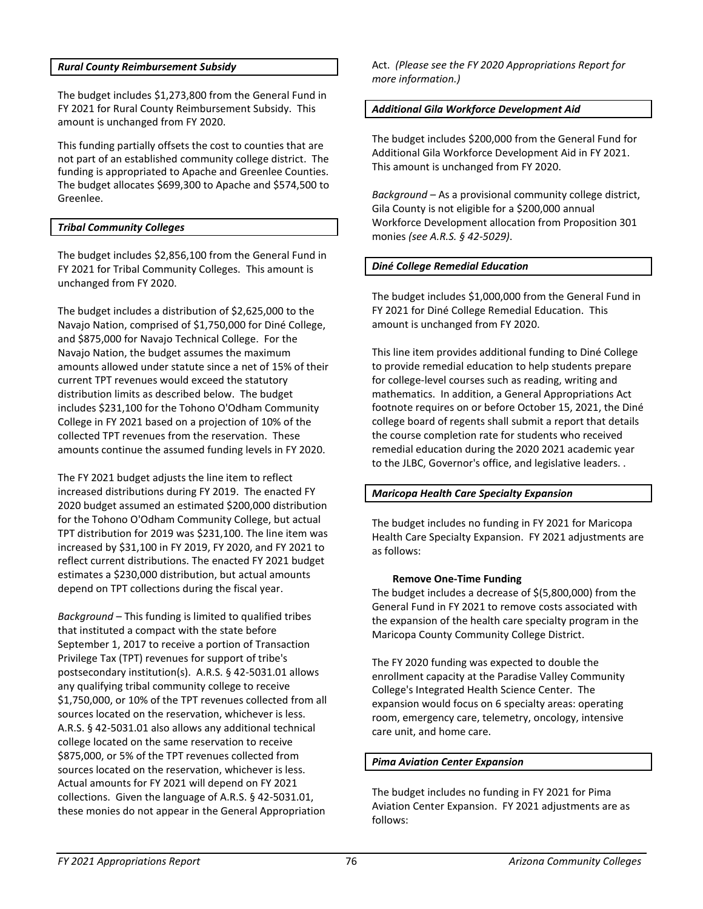#### *Rural County Reimbursement Subsidy*

The budget includes \$1,273,800 from the General Fund in FY 2021 for Rural County Reimbursement Subsidy. This amount is unchanged from FY 2020.

This funding partially offsets the cost to counties that are not part of an established community college district. The funding is appropriated to Apache and Greenlee Counties. The budget allocates \$699,300 to Apache and \$574,500 to Greenlee.

#### *Tribal Community Colleges*

The budget includes \$2,856,100 from the General Fund in FY 2021 for Tribal Community Colleges. This amount is unchanged from FY 2020.

The budget includes a distribution of \$2,625,000 to the Navajo Nation, comprised of \$1,750,000 for Diné College, and \$875,000 for Navajo Technical College. For the Navajo Nation, the budget assumes the maximum amounts allowed under statute since a net of 15% of their current TPT revenues would exceed the statutory distribution limits as described below. The budget includes \$231,100 for the Tohono O'Odham Community College in FY 2021 based on a projection of 10% of the collected TPT revenues from the reservation. These amounts continue the assumed funding levels in FY 2020.

The FY 2021 budget adjusts the line item to reflect increased distributions during FY 2019. The enacted FY 2020 budget assumed an estimated \$200,000 distribution for the Tohono O'Odham Community College, but actual TPT distribution for 2019 was \$231,100. The line item was increased by \$31,100 in FY 2019, FY 2020, and FY 2021 to reflect current distributions. The enacted FY 2021 budget estimates a \$230,000 distribution, but actual amounts depend on TPT collections during the fiscal year.

*Background* – This funding is limited to qualified tribes that instituted a compact with the state before September 1, 2017 to receive a portion of Transaction Privilege Tax (TPT) revenues for support of tribe's postsecondary institution(s). A.R.S. § 42-5031.01 allows any qualifying tribal community college to receive \$1,750,000, or 10% of the TPT revenues collected from all sources located on the reservation, whichever is less. A.R.S. § 42-5031.01 also allows any additional technical college located on the same reservation to receive \$875,000, or 5% of the TPT revenues collected from sources located on the reservation, whichever is less. Actual amounts for FY 2021 will depend on FY 2021 collections. Given the language of A.R.S. § 42-5031.01, these monies do not appear in the General Appropriation

Act. *(Please see the FY 2020 Appropriations Report for more information.)*

#### *Additional Gila Workforce Development Aid*

The budget includes \$200,000 from the General Fund for Additional Gila Workforce Development Aid in FY 2021. This amount is unchanged from FY 2020.

*Background* – As a provisional community college district, Gila County is not eligible for a \$200,000 annual Workforce Development allocation from Proposition 301 monies *(see A.R.S. § 42-5029)*.

#### *Diné College Remedial Education*

The budget includes \$1,000,000 from the General Fund in FY 2021 for Diné College Remedial Education. This amount is unchanged from FY 2020.

This line item provides additional funding to Diné College to provide remedial education to help students prepare for college-level courses such as reading, writing and mathematics. In addition, a General Appropriations Act footnote requires on or before October 15, 2021, the Diné college board of regents shall submit a report that details the course completion rate for students who received remedial education during the 2020 2021 academic year to the JLBC, Governor's office, and legislative leaders. .

#### *Maricopa Health Care Specialty Expansion*

The budget includes no funding in FY 2021 for Maricopa Health Care Specialty Expansion. FY 2021 adjustments are as follows:

#### **Remove One-Time Funding**

The budget includes a decrease of \$(5,800,000) from the General Fund in FY 2021 to remove costs associated with the expansion of the health care specialty program in the Maricopa County Community College District.

The FY 2020 funding was expected to double the enrollment capacity at the Paradise Valley Community College's Integrated Health Science Center. The expansion would focus on 6 specialty areas: operating room, emergency care, telemetry, oncology, intensive care unit, and home care.

#### *Pima Aviation Center Expansion*

The budget includes no funding in FY 2021 for Pima Aviation Center Expansion. FY 2021 adjustments are as follows: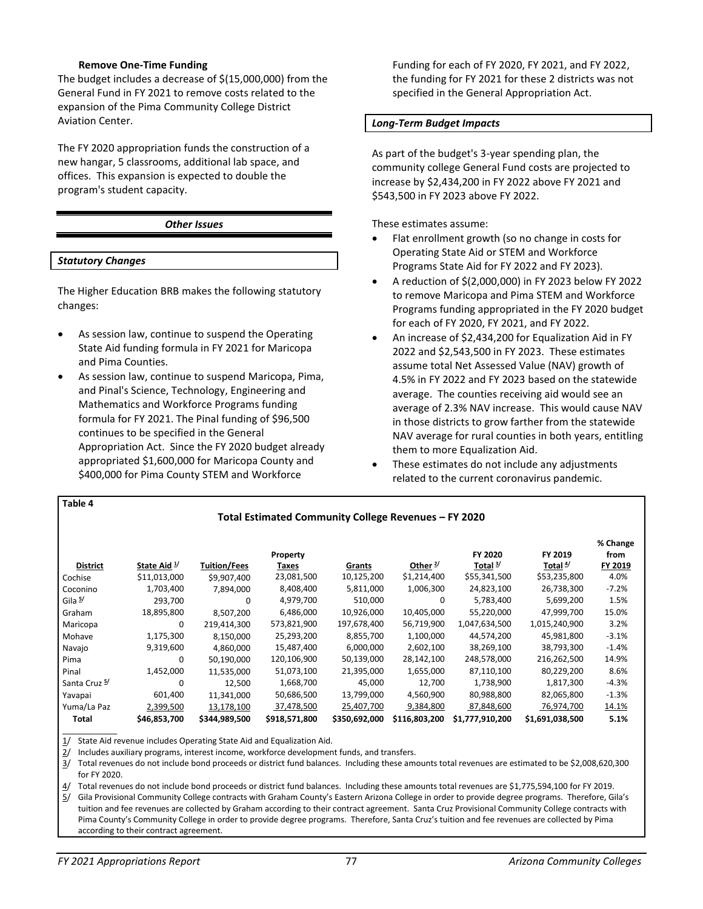#### **Remove One-Time Funding**

The budget includes a decrease of \$(15,000,000) from the General Fund in FY 2021 to remove costs related to the expansion of the Pima Community College District Aviation Center.

The FY 2020 appropriation funds the construction of a new hangar, 5 classrooms, additional lab space, and offices. This expansion is expected to double the program's student capacity.

#### *Other Issues*

#### *Statutory Changes*

**Table 4**

The Higher Education BRB makes the following statutory changes:

- As session law, continue to suspend the Operating State Aid funding formula in FY 2021 for Maricopa and Pima Counties.
- As session law, continue to suspend Maricopa, Pima, and Pinal's Science, Technology, Engineering and Mathematics and Workforce Programs funding formula for FY 2021. The Pinal funding of \$96,500 continues to be specified in the General Appropriation Act. Since the FY 2020 budget already appropriated \$1,600,000 for Maricopa County and \$400,000 for Pima County STEM and Workforce

Funding for each of FY 2020, FY 2021, and FY 2022, the funding for FY 2021 for these 2 districts was not specified in the General Appropriation Act.

#### *Long-Term Budget Impacts*

As part of the budget's 3-year spending plan, the community college General Fund costs are projected to increase by \$2,434,200 in FY 2022 above FY 2021 and \$543,500 in FY 2023 above FY 2022.

These estimates assume:

- Flat enrollment growth (so no change in costs for Operating State Aid or STEM and Workforce Programs State Aid for FY 2022 and FY 2023).
- A reduction of \$(2,000,000) in FY 2023 below FY 2022 to remove Maricopa and Pima STEM and Workforce Programs funding appropriated in the FY 2020 budget for each of FY 2020, FY 2021, and FY 2022.
- An increase of \$2,434,200 for Equalization Aid in FY 2022 and \$2,543,500 in FY 2023. These estimates assume total Net Assessed Value (NAV) growth of 4.5% in FY 2022 and FY 2023 based on the statewide average. The counties receiving aid would see an average of 2.3% NAV increase. This would cause NAV in those districts to grow farther from the statewide NAV average for rural counties in both years, entitling them to more Equalization Aid.
- These estimates do not include any adjustments related to the current coronavirus pandemic.

| Total Estimated Community College Revenues - FY 2020 |              |               |                   |               |               |                                |                                |                             |
|------------------------------------------------------|--------------|---------------|-------------------|---------------|---------------|--------------------------------|--------------------------------|-----------------------------|
| <b>District</b>                                      | State Aid 1/ | Tuition/Fees  | Property<br>Taxes | Grants        | Other $2/$    | FY 2020<br>Total <sup>3/</sup> | FY 2019<br>Total <sup>4/</sup> | % Change<br>from<br>FY 2019 |
| Cochise                                              | \$11,013,000 | \$9,907,400   | 23,081,500        | 10,125,200    | \$1,214,400   | \$55,341,500                   | \$53,235,800                   | 4.0%                        |
| Coconino                                             | 1,703,400    | 7,894,000     | 8,408,400         | 5,811,000     | 1,006,300     | 24,823,100                     | 26,738,300                     | $-7.2%$                     |
| Gila 5/                                              | 293,700      | 0             | 4,979,700         | 510,000       | 0             | 5,783,400                      | 5,699,200                      | 1.5%                        |
| Graham                                               | 18,895,800   | 8,507,200     | 6,486,000         | 10,926,000    | 10,405,000    | 55,220,000                     | 47,999,700                     | 15.0%                       |
| Maricopa                                             | 0            | 219,414,300   | 573,821,900       | 197,678,400   | 56,719,900    | 1,047,634,500                  | 1,015,240,900                  | 3.2%                        |
| Mohave                                               | 1,175,300    | 8,150,000     | 25,293,200        | 8,855,700     | 1,100,000     | 44,574,200                     | 45,981,800                     | $-3.1%$                     |
| Navajo                                               | 9,319,600    | 4,860,000     | 15,487,400        | 6,000,000     | 2,602,100     | 38,269,100                     | 38,793,300                     | $-1.4%$                     |
| Pima                                                 | 0            | 50,190,000    | 120,106,900       | 50,139,000    | 28,142,100    | 248,578,000                    | 216,262,500                    | 14.9%                       |
| Pinal                                                | 1,452,000    | 11,535,000    | 51,073,100        | 21,395,000    | 1,655,000     | 87,110,100                     | 80,229,200                     | 8.6%                        |
| Santa Cruz <sup>5/</sup>                             | 0            | 12,500        | 1,668,700         | 45,000        | 12,700        | 1,738,900                      | 1,817,300                      | $-4.3%$                     |
| Yavapai                                              | 601,400      | 11,341,000    | 50,686,500        | 13,799,000    | 4,560,900     | 80,988,800                     | 82,065,800                     | $-1.3%$                     |
| Yuma/La Paz                                          | 2,399,500    | 13,178,100    | 37,478,500        | 25,407,700    | 9,384,800     | 87,848,600                     | 76,974,700                     | 14.1%                       |
| Total                                                | \$46,853,700 | \$344,989,500 | \$918,571,800     | \$350,692,000 | \$116,803,200 | \$1,777,910,200                | \$1,691,038,500                | 5.1%                        |

1/ State Aid revenue includes Operating State Aid and Equalization Aid.

2/ Includes auxiliary programs, interest income, workforce development funds, and transfers.

3/ Total revenues do not include bond proceeds or district fund balances. Including these amounts total revenues are estimated to be \$2,008,620,300 for FY 2020.

4/ Total revenues do not include bond proceeds or district fund balances. Including these amounts total revenues are \$1,775,594,100 for FY 2019.

5/ Gila Provisional Community College contracts with Graham County's Eastern Arizona College in order to provide degree programs. Therefore, Gila's tuition and fee revenues are collected by Graham according to their contract agreement. Santa Cruz Provisional Community College contracts with Pima County's Community College in order to provide degree programs. Therefore, Santa Cruz's tuition and fee revenues are collected by Pima according to their contract agreement.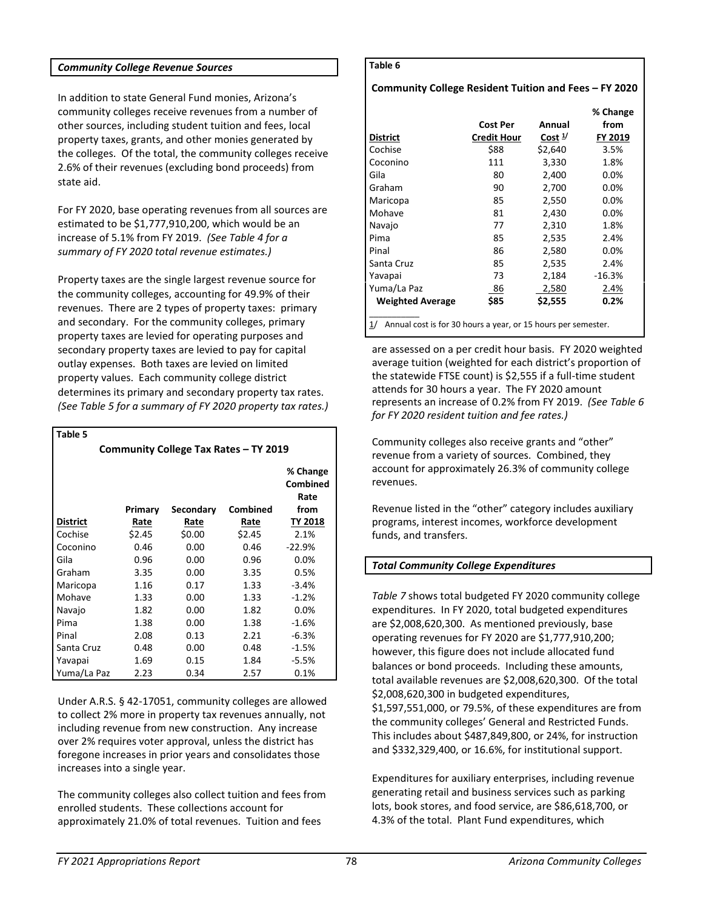#### *Community College Revenue Sources*

In addition to state General Fund monies, Arizona's community colleges receive revenues from a number of other sources, including student tuition and fees, local property taxes, grants, and other monies generated by the colleges. Of the total, the community colleges receive 2.6% of their revenues (excluding bond proceeds) from state aid.

For FY 2020, base operating revenues from all sources are estimated to be \$1,777,910,200, which would be an increase of 5.1% from FY 2019. *(See Table 4 for a summary of FY 2020 total revenue estimates.)*

Property taxes are the single largest revenue source for the community colleges, accounting for 49.9% of their revenues. There are 2 types of property taxes: primary and secondary. For the community colleges, primary property taxes are levied for operating purposes and secondary property taxes are levied to pay for capital outlay expenses. Both taxes are levied on limited property values. Each community college district determines its primary and secondary property tax rates. *(See Table 5 for a summary of FY 2020 property tax rates.)*

| Community College Tax Rates - TY 2019 |         |           |          |                                      |  |  |
|---------------------------------------|---------|-----------|----------|--------------------------------------|--|--|
|                                       | Primary | Secondary | Combined | % Change<br>Combined<br>Rate<br>from |  |  |
| <b>District</b>                       | Rate    | Rate      | Rate     | <b>TY 2018</b>                       |  |  |
| Cochise                               | \$2.45  | \$0.00    | \$2.45   | 2.1%                                 |  |  |
| Coconino                              | 0.46    | 0.00      | 0.46     | $-22.9%$                             |  |  |
| Gila                                  | 0.96    | 0.00      | 0.96     | 0.0%                                 |  |  |
| Graham                                | 3.35    | 0.00      | 3.35     | 0.5%                                 |  |  |
| Maricopa                              | 1.16    | 0.17      | 1.33     | $-3.4%$                              |  |  |
| Mohave                                | 1.33    | 0.00      | 1.33     | $-1.2%$                              |  |  |
| Navajo                                | 1.82    | 0.00      | 1.82     | 0.0%                                 |  |  |
| Pima                                  | 1.38    | 0.00      | 1.38     | $-1.6%$                              |  |  |
| Pinal                                 | 2.08    | 0.13      | 2.21     | $-6.3%$                              |  |  |
| Santa Cruz                            | 0.48    | 0.00      | 0.48     | $-1.5%$                              |  |  |
| Yavapai                               | 1.69    | 0.15      | 1.84     | -5.5%                                |  |  |
| Yuma/La Paz                           | 2.23    | 0.34      | 2.57     | 0.1%                                 |  |  |

Under A.R.S. § 42-17051, community colleges are allowed to collect 2% more in property tax revenues annually, not including revenue from new construction. Any increase over 2% requires voter approval, unless the district has foregone increases in prior years and consolidates those increases into a single year.

The community colleges also collect tuition and fees from enrolled students. These collections account for approximately 21.0% of total revenues. Tuition and fees

#### **Table 6**

### **Community College Resident Tuition and Fees – FY 2020**

| <b>District</b>                                                     | <b>Cost Per</b><br><b>Credit Hour</b> | Annual<br>Cost $\frac{1}{2}$ | % Change<br>from<br>FY 2019 |  |  |
|---------------------------------------------------------------------|---------------------------------------|------------------------------|-----------------------------|--|--|
| Cochise                                                             | \$88                                  | \$2,640                      | 3.5%                        |  |  |
| Coconino                                                            | 111                                   | 3,330                        | 1.8%                        |  |  |
| Gila                                                                | 80                                    | 2,400                        | 0.0%                        |  |  |
| Graham                                                              | 90                                    | 2,700                        | 0.0%                        |  |  |
| Maricopa                                                            | 85                                    | 2,550                        | 0.0%                        |  |  |
| Mohave                                                              | 81                                    | 2,430                        | 0.0%                        |  |  |
| Navajo                                                              | 77                                    | 2,310                        | 1.8%                        |  |  |
| Pima                                                                | 85                                    | 2,535                        | 2.4%                        |  |  |
| Pinal                                                               | 86                                    | 2,580                        | 0.0%                        |  |  |
| Santa Cruz                                                          | 85                                    | 2,535                        | 2.4%                        |  |  |
| Yavapai                                                             | 73                                    | 2,184                        | $-16.3%$                    |  |  |
| Yuma/La Paz                                                         | 86                                    | 2,580                        | 2.4%                        |  |  |
| <b>Weighted Average</b>                                             | \$85                                  | \$2,555                      | 0.2%                        |  |  |
| Annual cost is for 30 hours a year, or 15 hours per semester.<br>1/ |                                       |                              |                             |  |  |

are assessed on a per credit hour basis. FY 2020 weighted average tuition (weighted for each district's proportion of the statewide FTSE count) is \$2,555 if a full-time student attends for 30 hours a year. The FY 2020 amount represents an increase of 0.2% from FY 2019. *(See Table 6 for FY 2020 resident tuition and fee rates.)*

Community colleges also receive grants and "other" revenue from a variety of sources. Combined, they account for approximately 26.3% of community college revenues.

Revenue listed in the "other" category includes auxiliary programs, interest incomes, workforce development funds, and transfers.

# *Total Community College Expenditures*

*Table 7* shows total budgeted FY 2020 community college expenditures. In FY 2020, total budgeted expenditures are \$2,008,620,300. As mentioned previously, base operating revenues for FY 2020 are \$1,777,910,200; however, this figure does not include allocated fund balances or bond proceeds. Including these amounts, total available revenues are \$2,008,620,300. Of the total \$2,008,620,300 in budgeted expenditures, \$1,597,551,000, or 79.5%, of these expenditures are from the community colleges' General and Restricted Funds. This includes about \$487,849,800, or 24%, for instruction and \$332,329,400, or 16.6%, for institutional support.

Expenditures for auxiliary enterprises, including revenue generating retail and business services such as parking lots, book stores, and food service, are \$86,618,700, or 4.3% of the total. Plant Fund expenditures, which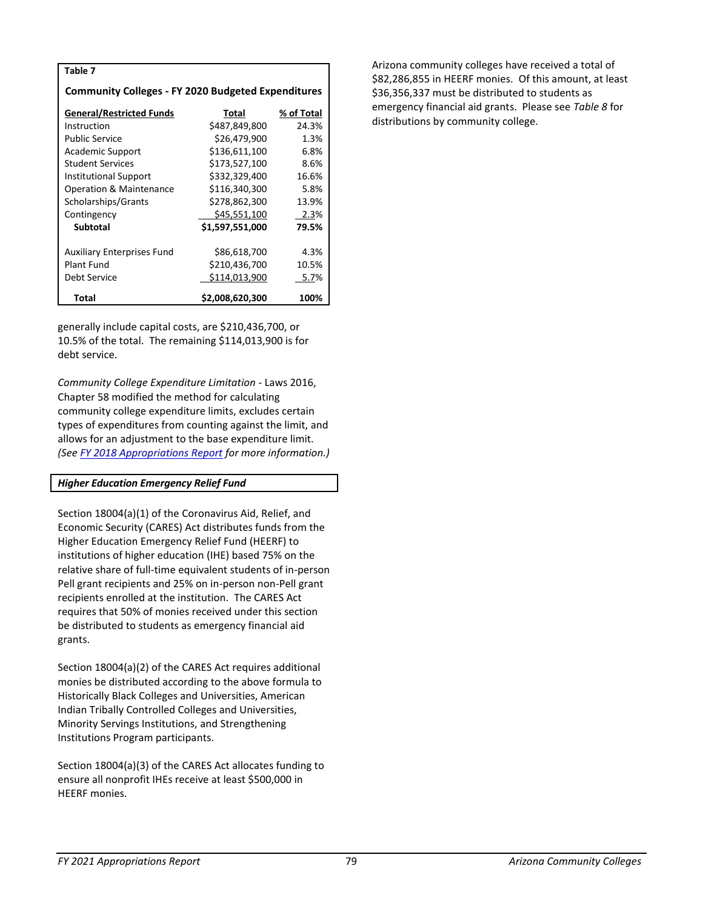| Table 7                                                   |                 |            |  |  |  |  |  |
|-----------------------------------------------------------|-----------------|------------|--|--|--|--|--|
| <b>Community Colleges - FY 2020 Budgeted Expenditures</b> |                 |            |  |  |  |  |  |
| <b>General/Restricted Funds</b>                           | Total           | % of Total |  |  |  |  |  |
| Instruction                                               | \$487,849,800   | 24.3%      |  |  |  |  |  |
| <b>Public Service</b>                                     | \$26,479,900    | 1.3%       |  |  |  |  |  |
| Academic Support                                          | \$136,611,100   | 6.8%       |  |  |  |  |  |
| <b>Student Services</b>                                   | \$173,527,100   | 8.6%       |  |  |  |  |  |
| Institutional Support                                     | \$332,329,400   | 16.6%      |  |  |  |  |  |
| <b>Operation &amp; Maintenance</b>                        | \$116,340,300   | 5.8%       |  |  |  |  |  |
| Scholarships/Grants                                       | \$278,862,300   | 13.9%      |  |  |  |  |  |
| Contingency                                               | \$45,551,100    | 2.3%       |  |  |  |  |  |
| <b>Subtotal</b>                                           | \$1,597,551,000 | 79.5%      |  |  |  |  |  |
|                                                           |                 |            |  |  |  |  |  |
| <b>Auxiliary Enterprises Fund</b>                         | \$86,618,700    | 4.3%       |  |  |  |  |  |
| <b>Plant Fund</b>                                         | \$210,436,700   | 10.5%      |  |  |  |  |  |
| Debt Service                                              | \$114,013,900   | 5.7%       |  |  |  |  |  |
| Total                                                     | \$2,008,620,300 | 100%       |  |  |  |  |  |

generally include capital costs, are \$210,436,700, or 10.5% of the total. The remaining \$114,013,900 is for debt service.

*Community College Expenditure Limitation -* Laws 2016, Chapter 58 modified the method for calculating community college expenditure limits, excludes certain types of expenditures from counting against the limit, and allows for an adjustment to the base expenditure limit. *(See [FY 2018 Appropriations Report](http://www.azleg.gov/jlbc/18AR/acc.pdf) for more information.)*

#### *Higher Education Emergency Relief Fund*

Section 18004(a)(1) of the Coronavirus Aid, Relief, and Economic Security (CARES) Act distributes funds from the Higher Education Emergency Relief Fund (HEERF) to institutions of higher education (IHE) based 75% on the relative share of full-time equivalent students of in-person Pell grant recipients and 25% on in-person non-Pell grant recipients enrolled at the institution. The CARES Act requires that 50% of monies received under this section be distributed to students as emergency financial aid grants.

Section 18004(a)(2) of the CARES Act requires additional monies be distributed according to the above formula to Historically Black Colleges and Universities, American Indian Tribally Controlled Colleges and Universities, Minority Servings Institutions, and Strengthening Institutions Program participants.

Section 18004(a)(3) of the CARES Act allocates funding to ensure all nonprofit IHEs receive at least \$500,000 in HEERF monies.

Arizona community colleges have received a total of \$82,286,855 in HEERF monies. Of this amount, at least \$36,356,337 must be distributed to students as emergency financial aid grants. Please see *Table 8* for distributions by community college.